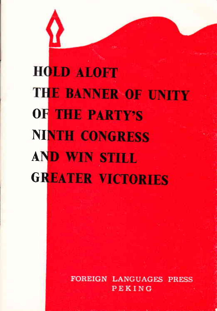## **HOLD ALOFT THE BANNER OF UNITY** OF THE PARTY'S **NINTH CONGRESS AND WIN STILL GREATER VICTORIES**

**FOREIGN LANGUAGES PRESS** PEKING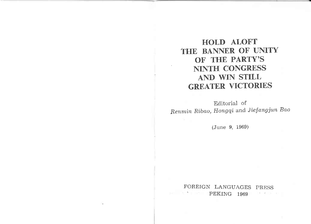HOLD ALOFT THE BANNER OF UNITY OF THE PARTY'S NINTH CONGRESS AND WIN STILL GREATER VICTORIES

Editorial of Renmin Ribao, Hongqi and Jiefangjun Bao

(June 9, 1969)

FOREIGN LANGUAGES PRESS **PEKING 1969**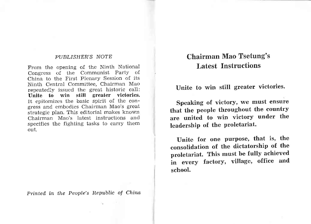## PUBLISHER'S NOTE

From the opening of the Ninth National Congress of the Communist Party of China to the First Plenary Session of its Ninth Central Committee, Chairman Mao repeatedly issued the great historic call: Unite to win still greater victories. It epitomizes the basic spirit of the congress and embodies Chairman Mao's great strategic plan. This editorial makes known Chairman Mao's latest instructions and specifies the fighting tasks to carry them out.

Printed in the People's Republic of China

## Chairman Mao Tsetung's Latest Instructions

Unite to win still greater victories.

Speaking of victory, we must ensure that the people throughout the country are united to win victory under the leadership of the proletariat.

Unite for one purpose, that is, the consolidation of the dictatorship of the proletariat. This must be fully achieved in every factory, village, office and school.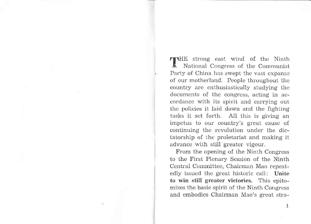**TEMPLE** strong east wind of the Ninth National Congress of the Communist Party of China has swept the vast expanse of our motherland. People throughout the country are enthusiastically studying the documents of the congress, acting in accordance with its spirit and carrying out the policies it laid down and the fighting tasks it set forth. AII this is giving an impetus to our country's great cause of continuing the revolution under the dictatorship of the proletariat and making it advance with still greater vigour.

From the opening of the Ninth Congress to the First Plenary Session of the Ninth Central Committee, Chairman Mao repeatedly issued the great historic call: Unite to win still greater victories. This epitomizes the basic spirit of the Ninth Congress and embodies Chairman Mao's great stra-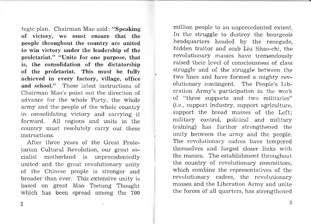tegic plan. Chairman Mao said: "Speaking of victory, we must ensure that the people throughout the country are united to win victory under the leadership of the proletariat." "IJnite for one purpose, that is, the consolidation of the dictatorship of the proletariat. This must be fully achieved in every factory, village, office and school." These latest instructions of Chairman Mao's point out the direction of advance for the whole Party, the whole army and the people of the whole country in consolidating victory and carrying it forward. AII regions and units in the country must resolutely carry out these instructions.

After three years of the Great Proletarian Cultural Revolution, our great socialist motherland is unprecedentedly united and the great revolutionary unity of the Chinese people is stronger and broader than ever. This extensive unity is based on great Mao Tsetung Thought which has been spread among the 700

million people to an unprecedented extent. In the struggle to destroy the bourgeois headquarters headed by the renegade, hidden traitor and scab Liu Shao-chi, the revolutionary masses have tremendously raised their level of consciousness of class struggle and of the struggle between the two lines and have formed a mighty revolutionary contingent. The People's Liberation Army's participation in the work of "three supports and two militaries" (i.e., support industry, support agriculture, support the broad masses of the Left; military control, political and military training) has further strengthened the unity between the army and the people. The revolutionary cadres have tempered themselves and forged closer links with the masses. The establishment throughout the country of revolutionary committees, which combine the representatives of the revolutionary cadres, the revolutionary masses and the Liberation Army and unite the forces of all quarters, has strengthened

2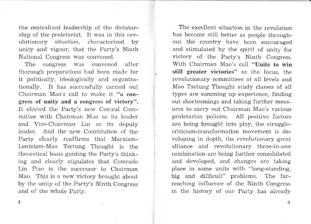the centralized leadership of the dictatorship of the proletariat. It was in this revolutionary situation, characterized by unity and vigour, that the Party's Ninth National Congress was convened.

The congress was convened after thorough preparations had been made for it politically, ideologically and organizationally. It has successfully carried out Chairman Mao's call to make it "a congress of unity and a congress of victory". It elected the Farty's new Central Committee with Chairman Mao as its leader and Vice-Chairman Lin as its deputy leader. And the new Constitution of the Party clearly reaffirms that Marxism-Leninism-Mao Tsetung Thought is the theoretical basis guiding the Party's thinking and clearly stipulates that Comrade Lin Piao is the successor to Chairman Mao. This is a new victory brought about by the unity of the Farty's Ninth Congress and of the whole Party.

The excellent situation in the revolution has become still better as people throughout the country have been encouraged and stimulated by the spirit of unity for victory of the Party's Ninth Congress. With Chairman Mao's call "Unite to win still greater victories" as the focus, the revolutionary committees at all levels and Mao Tsetung Thought study classes of all types are summing up experience, finding out shortcomings and taking further measures to carry out Chairman Mao's various proletarian policies. AII positive factors are being brought into play, the strugglecriticism-transformation movement is developing in depth, the revolutionary great alliance and revoluiionary three-in-one combination are being further consolidated and developed, and changes are taking place in some units with "long-standing, big and difficult" problems. The farreaching influence of the Ninth Congress in the history of our Party has already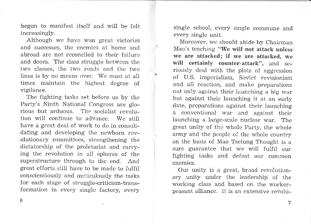begun to manifest itself and will be felt increasingly.

Although we have won great victories and successes, the enemies at home and abroad are not reconciled to their failure and doom. The class struggle between the two classes, the two roads and the two lines is by no means over. We must at aII times maintain the highest degree of vigilance.

The fighting tasks set before us by the Party's Ninth National Congress are glorious but arduous. The socialist revolution will continue to advance. We still have a great deal of work to do in consolidating and developing the newborn revolutionary comrnittees, strengthening the dictatorship of the proletariat and carrying the revolution in all spheres of the superstructure through to the end. And great efforts still have to be made to fulfil conscientiously and meticulously the tasks for each stage of struggle-criticism-transformation in every single factory, every

single school, every single commune and every single unit.

Moreover, we should abide by Chairman Mao's teaching "We will not attack unless we are attacked; if we are attacked, we will certainly counter-attack", and seriously deal with the plots of aggression of U.S. imperialism, Soviet revisionism and all reaction, and make preparations not only against their launching a big war but against their launching it at an early date, preparations against their launching a conventional war and against their launching a large-scale nuclear war. The great unity of the whole Party, the whole army and the people of the whole country on the basis of Mao Tsetung Thought is <sup>a</sup> sure guarantee that we will fulfil our fighting tasks and defeat our common enemles.

Our unity is a great, broad revolutionary unity under the leadership of the working class and based on the workerpeasant alliance. It is an extensive revolu-

6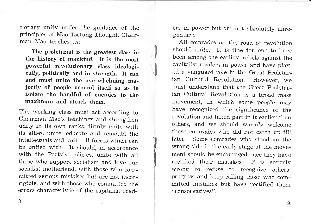tionary unity under the guidance of the principles of Mao Tsetung Thought. Chairman Mao teaches us:

The proletariat is the greatest class in the history of mankind. It is the most powerful revolutionary class ideologically, politically and in strength. It can<br>and must unite the overwhelming majority of people around itself so as to isolate the handful of enemies to the maximum and attack them.

il.<br>I

I

I

The working class must act according to Chairman Mao's teachings and strengthen unity in its own ranks, firmly unite with its allies, unite, educate and remould the intellectuals and unite all forces which can be united with. It should, in accordance with the Party's policies, unite with all those who support socialism and love our socialist motherland, with those who committed serious mistakes but are not incorrigible, and with those who committed the errors characteristic of the capitalist roaders in power but are not absolutely unrepentant.

AII comrades on the road of revolution should unite. It is fine for one to have been among the earliest rebels against the capitalist roaders in power and have played a vanguard role in the Great Proletarian Cultural Revolution. However, we must understand that the Great Proletarian Cultural Revolution is a broad mass movement, in which some people may have recognized the significance of the revolution and taken part in it earlier than others, and we should warmly welcome those comrades who did not catch up till later. Some comrades who stood on the wrong side in the early stage of the movement should be encouraged once they have rectified their mistakes. It is entirely wrong to refuse to recognize others' progress and keep calling those who committed mistakes but have rectified them "conservatives".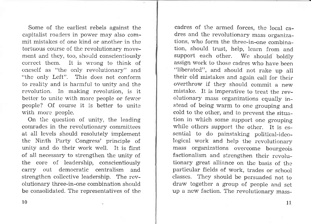Some of the earliest rebels against the capitalist roaders in power may also commit mistakes of one kind or another in the tortuous course of the revolutionary movement and they, too, should conscientiously correct them. It is wrong to think of oneself as "the only revolutionary" and "the only Left". This does not conform to reality and is harrnful to unity and the revolution. In making revolution, is it better to unite with more people or fewer peopie? Of course it is better to unite with more people.

On the question of unity, the leading comrades in the revolutionary committees at aI1 levels should resolutely implement the Ninth Party Congress' principle of unity and do their work well. It is first of aII necessary to strengthen the unity of the core of leadership, conscientiously carry out democratic centralism and strengthen collective leadership. The revolutionary three-in-one combination should be consolidated. The representatives of the

cadres of the armed forces, the local cadres and the revolutionary mass organizations, who form the three-in-one combination, should trust, help, learn from and support each other. We should boldly assign work to those cadres who have been "Iiberated", and should not rake up all their old mistakes and again call for their overthrow if they should commit a new mistake. It is imperative to treat the revolutionary mass organizations equally instead of being warm to one grouping and cold to the other, and to prevent the situation in which some support one grouping while others support the other. It is essential to do painstaking political-ideological work and help the revolutionary mass organizations overcome bourgeois factionalism and strengthen their revolutionary great alliance on the basis of the particular fields of work, trades or school classes. They should be persuaded not to draw together a group of people and set up a new faction. The revolutionary mass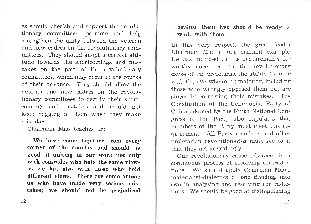es should cherish and support the revolutionary committees, promote and help strengthen the unity between the veteran and new cadres on the revolutionary committees. They should adopt a correct attitude towards the shortcomings and mistakes on the part of the revolutionary committees, which may occur in the course of their advance. They should allow the veteran and new cadres on the revolutionary committees to rectify their shortcomings and mistakes and should not keep nagging at them when they make mistakes.

Chairman Mao teaches us:

We have come together from every corner of the country and should be good at uniting in our work not only with comrades who hold the same views as we but also with those who hold different views. There are some among us who have made very serious mistakes; we should not be prejudiced against them but should be ready to work with them.

In this very respect, the great leader Chairman Mao is our brilliant example. He has included in the requirements for worthy successors to the revolutionary cause of the proletariat the ability to unite with the overwhelming majority, including those who wrongly opposed them but are sincerely correcting their mistakes. The Constitution of the Communist Party of China adopted by the Ninth National Congress of the Party also stipulates that members of the Party must meet this requirement. A11 Party members and other proletarian revolutionaries must see to it that they act accordingly.

Our revolutionary cause advances in <sup>a</sup> continuous process of resolving contradictions. We should app)y Chairman Mao's materialist-dialectics of one dividing into two in analysing and resolving contradictions. We should be good at distinguishing

L2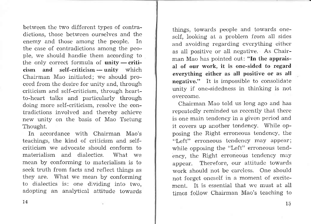between the two different types of contradictions, those between ourselves and the enemy and those among the people. In the case of contradictions among the people, we should handle them according to the only correct formula of unity — criticism and self-criticism - unity which - Chairman Mao initiated; we should proceed from the desire for unity and, through criticism and self-criticism, through heartto-heart talks and particularly through doing more self-criticism, resolve the contradictions involved and thereby achieve new unity on the basis of Mao Tsetung Thought.

In accordance with Chairman Mao's teachings, the kind of criticism and selfcriticism we advocate should conform to materialism and dialectics. What we mean by conforming to materialism is to seek truth from facts and reflect things as they are. What we mean by conforming to dialectics is: one dividing into two, adopting an analytical attitude towards things, towards people and towards oneself, looking at a problem from all sides and avoiding regarding everything either as aI1 positive or all negative. As Chairman Mao has pointed out: "In the appraisal of our work, it is one-sided to regard everything either as all positive or as all negative." It is impossible to consolidate unity if one-sidedness in thinking is not overcome.

Chairman Mao told us long ago and has repeatedly reminded us recently that there is one main tendency in a given period and it covers up another tendency. While opposing the Right erroneous tendency, the "Left" erroneous tendency may appear; while opposing the "Left" erroneous tendency, the Right erroneous tendency may appear. Therefore, our attitude towards work should not be careless. One should not forget oneself in a moment of excitement. It is essential that we must at all times follow Chairman Mao's teaching to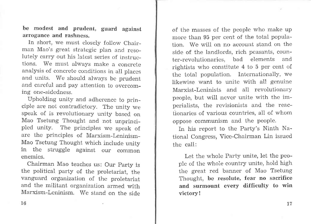be modest and prudent, guard against arrogance and rashness.

In short, we must closely follow Chairman Mao's great strategic plan and resolutely carry out his latest series of instructions. We must always make a concrete analysis of concrete conditions in all places and units. We should always be prudent and careful and pay attention to overcoming one-sidedness.

Upholding unity and adherence to principle are not contradictory. The unity we speak of is revolutionary unity based on Mao Tsetung Thought and not unprincipled unity. The principles we speak of are the principles of Marxism-Leninism-Mao Tsetung Thought which include unity in the struggle against our common enemies.

Chairman Mao teaches us: Our party is the political party of the proletariat, the vanguard organization of the proletariat and the militant organization armed with Marxism-Leninism. We stand on the side of the masses of the people who make up more than 95 per cent of the total population. We will on no account stand on the side of the landlords, rich peasants, counter-revolutionaries, bad elements and rightists who constitute 4 to 5 per cent of the total population. Internationally, we Iikewise want to unite with aI1 genuine Marxist-Leninists and all revolutionary people, but will never unite with the imperialists, the revisionists and the reacbionaries of various countries, all of whom oppose communism and the people.

In his report to the Party's Ninth National Congress, Vice-Chairman Lin issued the call:

Let the whole Party unite, Iet the people of the whole country unite, hold high the great red banner of Mao Tsetung Thought, be resolute, fear no sacrifice and surmount every difficulty to win victory !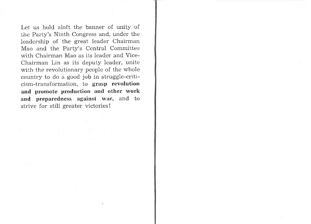Let us hold aloft the banner of unity of the Party's Ninth Congress and, under the leadership of the great leader Chairman Mao and the Party's Central Committee with Chairman Mao as its leader and Vice-Chairman Lin as its deputy leader, unite with the revolutionary people of the whole country to do a good job in struggle-criticism-transformation, to grasp revolution and promote production and other work and preparedness against war, and to strive for still greater victories!